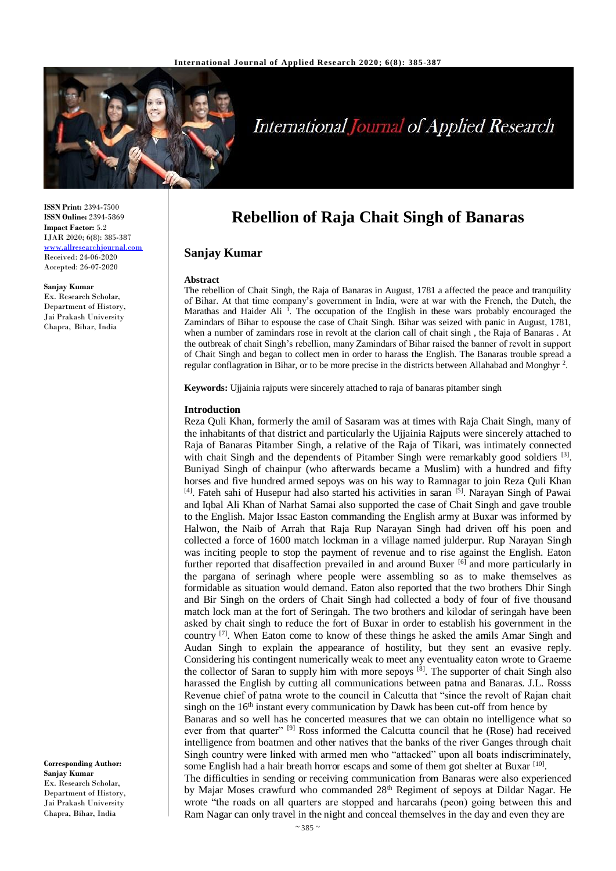

# **International Journal of Applied Research**

**ISSN Print:** 2394-7500 **ISSN Online:** 2394-5869 **Impact Factor:** 5.2 IJAR 2020; 6(8): 385-387 <www.allresearchjournal.com> Received: 24-06-2020 Accepted: 26-07-2020

**Sanjay Kumar** Ex. Research Scholar, Department of History, Jai Prakash University Chapra, Bihar, India

**Corresponding Author: Sanjay Kumar** Ex. Research Scholar, Department of History, Jai Prakash University Chapra, Bihar, India

# **Rebellion of Raja Chait Singh of Banaras**

## **Sanjay Kumar**

#### **Abstract**

The rebellion of Chait Singh, the Raja of Banaras in August, 1781 a affected the peace and tranquility of Bihar. At that time company's government in India, were at war with the French, the Dutch, the Marathas and Haider Ali<sup>1</sup>. The occupation of the English in these wars probably encouraged the Zamindars of Bihar to espouse the case of Chait Singh. Bihar was seized with panic in August, 1781, when a number of zamindars rose in revolt at the clarion call of chait singh , the Raja of Banaras . At the outbreak of chait Singh's rebellion, many Zamindars of Bihar raised the banner of revolt in support of Chait Singh and began to collect men in order to harass the English. The Banaras trouble spread a regular conflagration in Bihar, or to be more precise in the districts between Allahabad and Monghyr<sup>2</sup>.

**Keywords:** Ujjainia rajputs were sincerely attached to raja of banaras pitamber singh

#### **Introduction**

Reza Quli Khan, formerly the amil of Sasaram was at times with Raja Chait Singh, many of the inhabitants of that district and particularly the Ujjainia Rajputs were sincerely attached to Raja of Banaras Pitamber Singh, a relative of the Raja of Tikari, was intimately connected with chait Singh and the dependents of Pitamber Singh were remarkably good soldiers <sup>[3]</sup>. Buniyad Singh of chainpur (who afterwards became a Muslim) with a hundred and fifty horses and five hundred armed sepoys was on his way to Ramnagar to join Reza Quli Khan  $[4]$ . Fateh sahi of Husepur had also started his activities in saran  $[5]$ . Narayan Singh of Pawai and Iqbal Ali Khan of Narhat Samai also supported the case of Chait Singh and gave trouble to the English. Major Issac Easton commanding the English army at Buxar was informed by Halwon, the Naib of Arrah that Raja Rup Narayan Singh had driven off his poen and collected a force of 1600 match lockman in a village named julderpur. Rup Narayan Singh was inciting people to stop the payment of revenue and to rise against the English. Eaton further reported that disaffection prevailed in and around Buxer [6] and more particularly in the pargana of serinagh where people were assembling so as to make themselves as formidable as situation would demand. Eaton also reported that the two brothers Dhir Singh and Bir Singh on the orders of Chait Singh had collected a body of four of five thousand match lock man at the fort of Seringah. The two brothers and kilodar of seringah have been asked by chait singh to reduce the fort of Buxar in order to establish his government in the country  $[7]$ . When Eaton come to know of these things he asked the amils Amar Singh and Audan Singh to explain the appearance of hostility, but they sent an evasive reply. Considering his contingent numerically weak to meet any eventuality eaton wrote to Graeme the collector of Saran to supply him with more sepoys <sup>[8]</sup>. The supporter of chait Singh also harassed the English by cutting all communications between patna and Banaras. J.L. Rosss Revenue chief of patna wrote to the council in Calcutta that "since the revolt of Rajan chait singh on the  $16<sup>th</sup>$  instant every communication by Dawk has been cut-off from hence by Banaras and so well has he concerted measures that we can obtain no intelligence what so

ever from that quarter" <sup>[9]</sup> Ross informed the Calcutta council that he (Rose) had received intelligence from boatmen and other natives that the banks of the river Ganges through chait Singh country were linked with armed men who "attacked" upon all boats indiscriminately, some English had a hair breath horror escaps and some of them got shelter at Buxar<sup>[10]</sup>.

The difficulties in sending or receiving communication from Banaras were also experienced by Majar Moses crawfurd who commanded 28<sup>th</sup> Regiment of sepoys at Dildar Nagar. He wrote "the roads on all quarters are stopped and harcarahs (peon) going between this and Ram Nagar can only travel in the night and conceal themselves in the day and even they are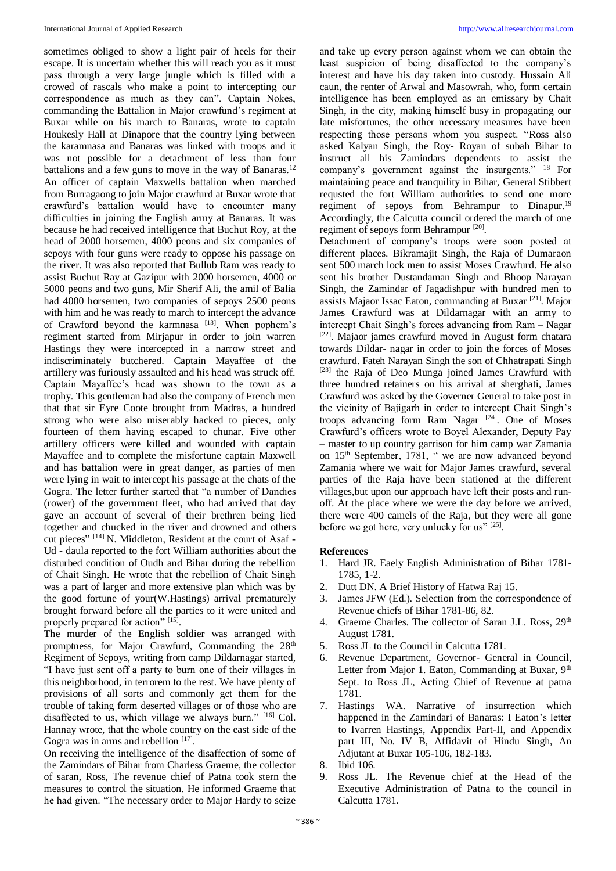sometimes obliged to show a light pair of heels for their escape. It is uncertain whether this will reach you as it must pass through a very large jungle which is filled with a crowed of rascals who make a point to intercepting our correspondence as much as they can". Captain Nokes, commanding the Battalion in Major crawfund's regiment at Buxar while on his march to Banaras, wrote to captain Houkesly Hall at Dinapore that the country lying between the karamnasa and Banaras was linked with troops and it was not possible for a detachment of less than four battalions and a few guns to move in the way of Banaras.<sup>12</sup> An officer of captain Maxwells battalion when marched from Burragaong to join Major crawfurd at Buxar wrote that crawfurd's battalion would have to encounter many difficulties in joining the English army at Banaras. It was because he had received intelligence that Buchut Roy, at the head of 2000 horsemen, 4000 peons and six companies of sepoys with four guns were ready to oppose his passage on the river. It was also reported that Bullub Ram was ready to assist Buchut Ray at Gazipur with 2000 horsemen, 4000 or 5000 peons and two guns, Mir Sherif Ali, the amil of Balia had 4000 horsemen, two companies of sepoys 2500 peons with him and he was ready to march to intercept the advance of Crawford beyond the karmnasa  $[13]$ . When pophem's regiment started from Mirjapur in order to join warren Hastings they were intercepted in a narrow street and indiscriminately butchered. Captain Mayaffee of the artillery was furiously assaulted and his head was struck off. Captain Mayaffee's head was shown to the town as a trophy. This gentleman had also the company of French men that that sir Eyre Coote brought from Madras, a hundred strong who were also miserably hacked to pieces, only fourteen of them having escaped to chunar. Five other artillery officers were killed and wounded with captain Mayaffee and to complete the misfortune captain Maxwell and has battalion were in great danger, as parties of men were lying in wait to intercept his passage at the chats of the Gogra. The letter further started that "a number of Dandies (rower) of the government fleet, who had arrived that day gave an account of several of their brethren being lied together and chucked in the river and drowned and others cut pieces" [14] N. Middleton, Resident at the court of Asaf - Ud - daula reported to the fort William authorities about the disturbed condition of Oudh and Bihar during the rebellion of Chait Singh. He wrote that the rebellion of Chait Singh was a part of larger and more extensive plan which was by the good fortune of your(W.Hastings) arrival prematurely brought forward before all the parties to it were united and properly prepared for action" [15].

The murder of the English soldier was arranged with promptness, for Major Crawfurd, Commanding the 28<sup>th</sup> Regiment of Sepoys, writing from camp Dildarnagar started, "I have just sent off a party to burn one of their villages in this neighborhood, in terrorem to the rest. We have plenty of provisions of all sorts and commonly get them for the trouble of taking form deserted villages or of those who are disaffected to us, which village we always burn." [16] Col. Hannay wrote, that the whole country on the east side of the Gogra was in arms and rebellion  $[17]$ .

On receiving the intelligence of the disaffection of some of the Zamindars of Bihar from Charless Graeme, the collector of saran, Ross, The revenue chief of Patna took stern the measures to control the situation. He informed Graeme that he had given. "The necessary order to Major Hardy to seize

and take up every person against whom we can obtain the least suspicion of being disaffected to the company's interest and have his day taken into custody. Hussain Ali caun, the renter of Arwal and Masowrah, who, form certain intelligence has been employed as an emissary by Chait Singh, in the city, making himself busy in propagating our late misfortunes, the other necessary measures have been respecting those persons whom you suspect. "Ross also asked Kalyan Singh, the Roy- Royan of subah Bihar to instruct all his Zamindars dependents to assist the company's government against the insurgents." <sup>18</sup> For maintaining peace and tranquility in Bihar, General Stibbert requsted the fort William authorities to send one more regiment of sepoys from Behrampur to Dinapur.<sup>19</sup> Accordingly, the Calcutta council ordered the march of one regiment of sepoys form Behrampur<sup>[20]</sup>.

Detachment of company's troops were soon posted at different places. Bikramajit Singh, the Raja of Dumaraon sent 500 march lock men to assist Moses Crawfurd. He also sent his brother Dustandaman Singh and Bhoop Narayan Singh, the Zamindar of Jagadishpur with hundred men to assists Majaor Issac Eaton, commanding at Buxar<sup>[21]</sup>. Major James Crawfurd was at Dildarnagar with an army to intercept Chait Singh's forces advancing from Ram – Nagar [22]. Majaor james crawfurd moved in August form chatara towards Dildar- nagar in order to join the forces of Moses crawfurd. Fateh Narayan Singh the son of Chhatrapati Singh [23] the Raja of Deo Munga joined James Crawfurd with three hundred retainers on his arrival at sherghati, James Crawfurd was asked by the Governer General to take post in the vicinity of Bajigarh in order to intercept Chait Singh's troops advancing form Ram Nagar<sup>[24]</sup>. One of Moses Crawfurd's officers wrote to Boyel Alexander, Deputy Pay – master to up country garrison for him camp war Zamania on 15th September, 1781, " we are now advanced beyond Zamania where we wait for Major James crawfurd, several parties of the Raja have been stationed at the different villages,but upon our approach have left their posts and runoff. At the place where we were the day before we arrived, there were 400 camels of the Raja, but they were all gone before we got here, very unlucky for us" [25].

### **References**

- 1. Hard JR. Eaely English Administration of Bihar 1781- 1785, 1-2.
- 2. Dutt DN. A Brief History of Hatwa Raj 15.
- 3. James JFW (Ed.). Selection from the correspondence of Revenue chiefs of Bihar 1781-86, 82.
- 4. Graeme Charles. The collector of Saran J.L. Ross, 29<sup>th</sup> August 1781.
- 5. Ross JL to the Council in Calcutta 1781.
- 6. Revenue Department, Governor- General in Council, Letter from Major 1. Eaton, Commanding at Buxar,  $9<sup>th</sup>$ Sept. to Ross JL, Acting Chief of Revenue at patna 1781.
- 7. Hastings WA. Narrative of insurrection which happened in the Zamindari of Banaras: I Eaton's letter to Ivarren Hastings, Appendix Part-II, and Appendix part III, No. IV B, Affidavit of Hindu Singh, An Adjutant at Buxar 105-106, 182-183.
- 8. Ibid 106.
- 9. Ross JL. The Revenue chief at the Head of the Executive Administration of Patna to the council in Calcutta 1781.